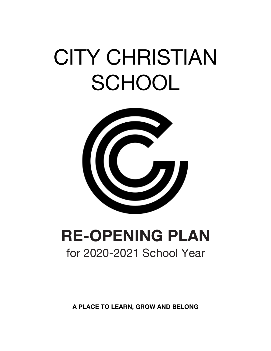# CITY CHRISTIAN **SCHOOL**



## **RE-OPENING PLAN** for 2020-2021 School Year

**A PLACE TO LEARN, GROW AND BELONG**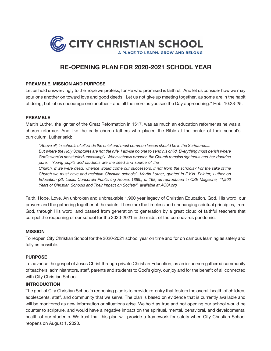

### **RE-OPENING PLAN FOR 2020-2021 SCHOOL YEAR**

#### **PREAMBLE, MISSION AND PURPOSE**

Let us hold unswervingly to the hope we profess, for He who promised is faithful. And let us consider how we may spur one another on toward love and good deeds. Let us not give up meeting together, as some are in the habit of doing, but let us encourage one another – and all the more as you see the Day approaching." Heb. 10:23-25.

#### **PREAMBLE**

Martin Luther, the igniter of the Great Reformation in 1517, was as much an education reformer as he was a church reformer. And like the early church fathers who placed the Bible at the center of their school's curriculum, Luther said:

"Above all, in schools of all kinds the chief and most common lesson should be in the Scriptures.... But where the Holy Scriptures are not the rule, I advise no one to send his child. Everything must perish where *God's word is not studied unceasingly. When schools prosper, the Church remains righteous and her doctrine pure. Young pupils and students are the seed and source of the Church. If we were dead, whence would come our successors, if not from the schools? For the sake of the Church we must have and maintain Christian schools". Martin Luther, quoted in F.V.N. Painter, Luther on Education (St. Louis: Concordia Publishing House, 1889), p. 168; as reproduced in CSE Magazine, "1,900 Years of Christian Schools and Their Impact on Society", available at ACSI.org*

Faith. Hope. Love. An unbroken and unbreakable 1,900 year legacy of Christian Education. God, His word, our prayers and the gathering together of the saints. These are the timeless and unchanging spiritual principles, from God, through His word, and passed from generation to generation by a great cloud of faithful teachers that compel the reopening of our school for the 2020-2021 in the midst of the coronavirus pandemic.

#### **MISSION**

To reopen City Christian School for the 2020-2021 school year on time and for on campus learning as safely and fully as possible.

#### **PURPOSE**

To advance the gospel of Jesus Christ through private Christian Education, as an in-person gathered community of teachers, administrators, staff, parents and students to God's glory, our joy and for the benefit of all connected with City Christian School.

#### **INTRODUCTION**

The goal of City Christian School's reopening plan is to provide re-entry that fosters the overall health of children, adolescents, staff, and community that we serve. The plan is based on evidence that is currently available and will be monitored as new information or situations arise. We hold as true and not opening our school would be counter to scripture, and would have a negative impact on the spiritual, mental, behavioral, and developmental health of our students. We trust that this plan will provide a framework for safety when City Christian School reopens on August 1, 2020.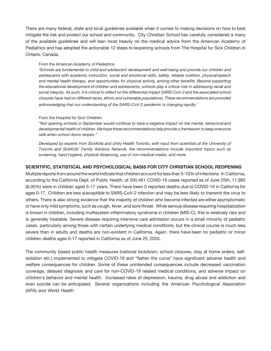There are many federal, state and local guidelines available when it comes to making decisions on how to best mitigate the risk and protect our school and community. City Christian School has carefully considered a many of the available guidelines and will lean most heavily on the medical advice from the American Academy of Pediatrics and has adopted the actionable 12 steps to reopening schools from The Hospital for Sick Children in Ontario, Canada.

#### From the American Academy of Pediatrics:

*'Schools are fundamental to child and adolescent development and well-being and provide our children and adolescents with academic instruction, social and emotional skills, safety, reliable nutrition, physical/speech and mental health therapy, and opportunities for physical activity, among other benefits. Beyond supporting the educational development of children and adolescents, schools play a critical role in addressing racial and social inequity. As such, it is critical to reflect on the differential impact SARS-CoV-2 and the associated school closures have had on different races, ethnic and vulnerable populations. These recommendations are provided acknowledging that our understanding of the SARS-CoV-2 pandemic is changing rapidly.'*

#### From the Hospital for Sick Children:

*"Not opening schools in September would continue to have a negative impact on the mental, behavioral and developmental health of children. Wehope these recommendations help provide a framework to keep everyone safe when school doors reopen."*

*Developed by experts from SickKids and Unity Health Toronto, with input from scientists at the University of Toronto and SickKids' Family Advisory Network, the recommendations include important topics such as screening, hand hygiene, physical distancing, use of non-medical masks, and more.*

#### **SCIENTIFIC, STATISTICAL AND PSYCHOLOGICAL BASIS FOR CITY CHRISTIAN SCHOOL REOPENING**

Multiple reports from around the world indicate that children account for less than 5-10% of infections. In California, according to the California Dept. of Public Health, of 200,461 COVID-19 cases reported as of June 25th, 11,985 (6.00%) were in children aged 5-17 years. There have been 0 reported deaths due to COVID-19 in California for ages 0-17. Children are less susceptible to SARS-CoV-2 infection and may be less likely to transmit the virus to others. There is also strong evidence that the majority of children who become infected are either asymptomatic or have only mild symptoms, such as cough, fever, and sore throat. While serious disease requiring hospitalization is known in children, including multisystem inflammatory syndrome in children (MIS-C), this is relatively rare and is generally treatable. Severe disease requiring intensive care admission occurs in a small minority of pediatric cases, particularly among those with certain underlying medical conditions, but the clinical course is much less severe than in adults and deaths are non-existent in California. Again, there have been no pediatric or minor children deaths ages 0-17 reported in California as of June 25, 2020.

The community based public health measures (national lockdown, school closures, stay at home orders, selfisolation etc.) implemented to mitigate COVID-19 and "flatten the curve" have significant adverse health and welfare consequences for children. Some of these unintended consequences include decreased vaccination coverage, delayed diagnosis and care for non-COVID-19 related medical conditions, and adverse impact on children's behavior and mental health. Increased rates of depression, trauma, drug abuse and addiction and even suicide can be anticipated. Several organizations including the American Psychological Association (APA) and World Health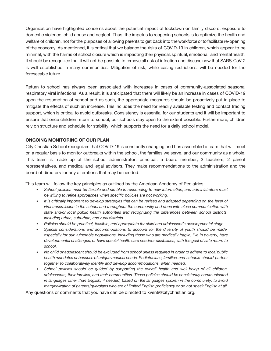Organization have highlighted concerns about the potential impact of lockdown on family discord, exposure to domestic violence, child abuse and neglect. Thus, the impetus to reopening schools is to optimize the health and welfare of children, not for the purposes of allowing parents to get back into the workforce orto facilitate re-opening of the economy. As mentioned, it is critical that we balance the risks of COVID-19 in children, which appear to be minimal, with the harms of school closure which is impacting their physical, spiritual, emotional, and mental health. It should be recognized that it will not be possible to remove all risk of infection and disease now that SARS-CoV-2 is well established in many communities. Mitigation of risk, while easing restrictions, will be needed for the foreseeable future.

Return to school has always been associated with increases in cases of community-associated seasonal respiratory viral infections. As a result, it is anticipated that there will likely be an increase in cases of COVID-19 upon the resumption of school and as such, the appropriate measures should be proactively put in place to mitigate the effects of such an increase. This includes the need for readily available testing and contact tracing support, which is critical to avoid outbreaks. Consistency is essential for our students and it will be important to ensure that once children return to school, our schools stay open to the extent possible. Furthermore, children rely on structure and schedule for stability, which supports the need for a daily school model.

#### **ONGOING MONITORING OF OUR PLAN**

City Christian School recognizes that COVID-19 is constantly changing and has assembled a team that will meet on a regular basis to monitor outbreaks within the school, the families we serve, and our community as a whole. This team is made up of the school administrator, principal, a board member, 2 teachers, 2 parent representatives, and medical and legal advisors. They make recommendations to the administration and the board of directors for any alterations that may be needed.

This team will follow the key principles as outlined by the American Academy of Pediatrics:

- *• School policies must be flexible and nimble in responding to new information, and administrators must be willing to refine approaches when specific policies are not working.*
- *• It is critically important to develop strategies that can be revised and adapted depending on the level of viral transmission in the school and throughout the community and done with close communication with state and/or local public health authorities and recognizing the differences between school districts, including urban, suburban, and rural districts.*
- *• Policies should be practical, feasible, and appropriate for child and adolescent's developmental stage.*
- *• Special considerations and accommodations to account for the diversity of youth should be made,*  especially for our vulnerable populations, including those who are medically fragile, live in poverty, have *developmental challenges, or have special health care needsor disabilities, with the goal of safe return to school.*
- *• No child or adolescent should be excluded from school unless required in order to adhere to localpublic health mandates or because of unique medical needs. Pediatricians, families, and schools should partner together to collaboratively identify and develop accommodations, when needed.*
- *• School policies should be guided by supporting the overall health and well-being of all children, adolescents, their families, and their communities. These policies should be consistently communicated in languages other than English, if needed, based on the languages spoken in the community, to avoid marginalization of parents/guardians who are of limited English proficiency or do not speak English at all.*

Any questions or comments that you have can be directed to kventi@citychristian.org.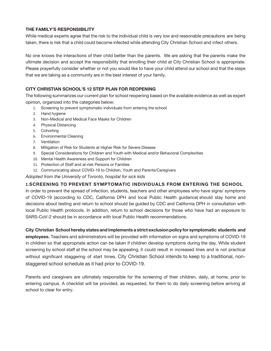#### **THE FAMILY'S RESPONSIBILITY**

While medical experts agree that the risk to the individual child is very low and reasonable precautions are being taken, there is risk that a child could become infected while attending City Christian School and infect others.

No one knows the interactions of their child better than the parents. We are asking that the parents make the ultimate decision and accept the responsibility that enrolling their child at City Christian School is appropriate. Please prayerfully consider whether or not you would like to have your child attend our school and that the steps that we are taking as a community are in the best interest of your family.

#### **CITY CHRISTIAN SCHOOL'S 12 STEP PLAN FOR REOPENING**

The following summarizes our current plan for school reopening based on the available evidence as well as expert opinion, organized into the categories below:

- 1. Screening to prevent symptomatic individuals from entering the school
- 2. Hand hygiene
- 3. Non-Medical and Medical Face Masks for Children
- 4. Physical Distancing
- 5. Cohorting
- 6. Environmental Cleaning
- 7. Ventilation
- 8. Mitigation of Risk for Students at Higher Risk for Severe Disease
- 9. Special Considerations for Children and Youth with Medical and/or Behavioral Complexities
- 10. Mental Health Awareness and Support for Children
- 11. Protection of Staff and at-risk Persons or Families
- 12. Communicating about COVID-19 to Children, Youth and Parents/Caregivers

*Adopted from the University of Toronto, hospital for sick kids*

#### **1.SCREENING TO PREVENT SYMPTOMATIC INDIVIDUALS FROM ENTERING THE SCHOOL**

In order to prevent the spread of infection, students, teachers and other employees who have signs/ symptoms of COVID-19 (according to CDC, California DPH and local Public Health guidance) should stay home and decisions about testing and return to school should be guided by CDC and California DPH in consultation with local Public Health protocols. In addition, return to school decisions for those who have had an exposure to SARS-CoV-2 should be in accordance with local Public Health recommendations.

**City Christian School hereby states and implements a strict exclusion policy for symptomatic students and employees.** Teachers and administrators will be provided with information on signs and symptoms of COVID-19 in children so that appropriate action can be taken if children develop symptoms during the day. While student screening by school staff at the school may be appealing, it could result in increased lines and is not practical without significant staggering of start times. City Christian School intends to keep to a traditional, nonstaggered school schedule as it had prior to COVID-19.

Parents and caregivers are ultimately responsible for the screening of their children, daily, at home, prior to entering campus. A checklist will be provided, as requested, for them to do daily screening before arriving at school to clear for entry.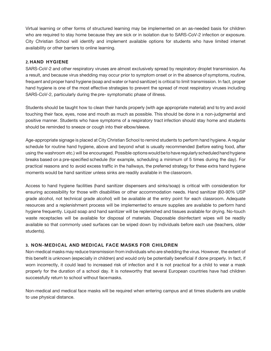Virtual learning or other forms of structured learning may be implemented on an as-needed basis for children who are required to stay home because they are sick or in isolation due to SARS-CoV-2 infection or exposure. City Christian School will identify and implement available options for students who have limited internet availability or other barriers to online learning.

#### **2. HAND HYGIENE**

SARS-CoV-2 and other respiratory viruses are almost exclusively spread by respiratory droplet transmission. As a result, and because virus shedding may occur prior to symptom onset or in the absence of symptoms, routine, frequent and proper hand hygiene (soap and water or hand sanitizer) is critical to limit transmission. In fact, proper hand hygiene is one of the most effective strategies to prevent the spread of most respiratory viruses including SARS-CoV-2, particularly during the pre- symptomatic phase of illness.

Students should be taught how to clean their hands properly (with age appropriate material) and to try and avoid touching their face, eyes, nose and mouth as much as possible. This should be done in a non-judgmental and positive manner. Students who have symptoms of a respiratory tract infection should stay home and students should be reminded to sneeze or cough into their elbow/sleeve.

Age-appropriate signage is placed at City Christian School to remind students to perform hand hygiene. A regular schedule for routine hand hygiene, above and beyond what is usually recommended (before eating food, after using the washroom etc.) will be encouraged. Possible options would be to have regularly scheduled hand hygiene breaks based on a pre-specified schedule (for example, scheduling a minimum of 5 times during the day). For practical reasons and to avoid excess traffic in the hallways, the preferred strategy for these extra hand hygiene moments would be hand sanitizer unless sinks are readily available in the classroom.

Access to hand hygiene facilities (hand sanitizer dispensers and sinks/soap) is critical with consideration for ensuring accessibility for those with disabilities or other accommodation needs. Hand sanitizer (60-90% USP grade alcohol, not technical grade alcohol) will be available at the entry point for each classroom. Adequate resources and a replenishment process will be implemented to ensure supplies are available to perform hand hygiene frequently. Liquid soap and hand sanitizer will be replenished and tissues available for drying. No-touch waste receptacles will be available for disposal of materials. Disposable disinfectant wipes will be readily available so that commonly used surfaces can be wiped down by individuals before each use (teachers, older students).

#### **3. NON-MEDICAL AND MEDICAL FACE MASKS FOR CHILDREN**

Non-medical masks may reduce transmission from individuals who are shedding the virus. However, the extent of this benefit is unknown (especially in children) and would only be potentially beneficial if done properly. In fact, if worn incorrectly, it could lead to increased risk of infection and it is not practical for a child to wear a mask properly for the duration of a school day. It is noteworthy that several European countries have had children successfully return to school without facemasks.

Non-medical and medical face masks will be required when entering campus and at times students are unable to use physical distance.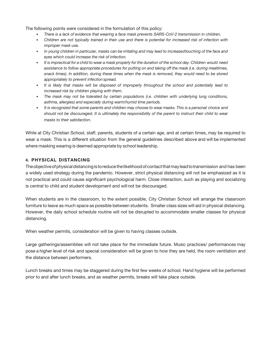The following points were considered in the formulation of this policy:

- *• There is a lack of evidence that wearing a face mask prevents SARS-CoV-2 transmission in children.*
- Children are not typically trained in their use and there is potential for increased risk of infection with *improper mask use.*
- *• In young children in particular, masks can be irritating and may lead to increasedtouching of the face and eyes which could increase the risk of infection.*
- It is impractical for a child to wear a mask properly for the duration of the school day. Children would need *assistance to follow appropriate procedures for putting on and taking off the mask (i.e. during mealtimes, snack times). In addition, during these times when the mask is removed, they would need to be stored appropriately to prevent infection spread.*
- *• It is likely that masks will be disposed of improperly throughout the school and potentially lead to increased risk by children playing with them.*
- *• The mask may not be tolerated by certain populations (i.e. children with underlying lung conditions, asthma, allergies) and especially during warm/humid time periods.*
- It is recognized that some parents and children may choose to wear masks. This is a personal choice and *should not be discouraged. It is ultimately the responsibility of the parent to instruct their child to wear masks to their satisfaction*.

While at City Christian School, staff, parents, students of a certain age, and at certain times, may be required to wear a mask. This is a different situation from the general guidelines described above and will be implemented where masking wearing is deemed appropriate by school leadership.

#### **4. PHYSICAL DISTANCING**

The objective of physical distancing is to reduce the likelihood of contact that may lead to transmission and has been a widely used strategy during the pandemic. However, strict physical distancing will not be emphasized as it is not practical and could cause significant psychological harm. Close interaction, such as playing and socializing is central to child and student development and will not be discouraged.

When students are in the classroom, to the extent possible, City Christian School will arrange the classroom furniture to leave as much space as possible between students. Smaller class sizes will aid in physical distancing. However, the daily school schedule routine will not be disrupted to accommodate smaller classes for physical distancing.

When weather permits, consideration will be given to having classes outside.

Large gatherings/assemblies will not take place for the immediate future. Music practices/ performances may pose a higher level of risk and special consideration will be given to how they are held, the room ventilation and the distance between performers.

Lunch breaks and times may be staggered during the first few weeks of school. Hand hygiene will be performed prior to and after lunch breaks, and as weather permits, breaks will take place outside.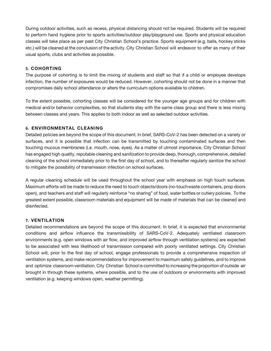During outdoor activities, such as recess, physical distancing should not be required. Students will be required to perform hand hygiene prior to sports activities/outdoor play/playground use. Sports and physical education classes will take place as per past City Christian School's practice. Sports equipment (e.g. balls, hockey sticks etc.) will be cleaned at the conclusion of the activity. City Christian School will endeavor to offer as many of their usual sports, clubs and activities as possible.

#### **5. COHORTING**

The purpose of cohorting is to limit the mixing of students and staff so that if a child or employee develops infection, the number of exposures would be reduced. However, cohorting should not be done in a manner that compromises daily school attendance or alters the curriculum options available to children.

To the extent possible, cohorting classes will be considered for the younger age groups and for children with medical and/or behavior complexities, so that students stay with the same class group and there is less mixing between classes and years. This applies to both indoor as well as selected outdoor activities.

#### **6. ENVIRONMENTAL CLEANING**

Detailed policies are beyond the scope of this document. In brief, SARS-CoV-2 has been detected on a variety or surfaces, and it is possible that infection can be transmitted by touching contaminated surfaces and then touching mucous membranes (i.e. mouth, nose, eyes). As a matter of utmost importance, City Christian School has engaged high quality, reputable cleaning and sanitization to provide deep, thorough, comprehensive, detailed cleaning of the school immediately prior to the first day of school, and to thereafter regularly sanitize the school to mitigate the possibility of transmission infection on school surfaces.

A regular cleaning schedule will be used throughout the school year with emphasis on high touch surfaces. Maximum efforts will be made to reduce the need to touch objects/doors (no-touchwaste containers, prop doors open), and teachers and staff will regularly reinforce "no sharing" of food, water bottles or cutlery policies. To the greatest extent possible, classroom materials and equipment will be made of materials that can be cleaned and disinfected.

#### **7. VENTILATION**

Detailed recommendations are beyond the scope of this document. In brief, it is expected that environmental conditions and airflow influence the transmissibility of SARS-CoV-2. Adequately ventilated classroom environments (e.g. open windows with air flow, and improved airflow through ventilation systems) are expected to be associated with less likelihood of transmission compared with poorly ventilated settings. City Christian School will, prior to the first day of school, engage professionals to provide a comprehensive inspection of ventilation systems, and make recommendations for improvement to maximum safety guidelines, and to improve and optimize classroom ventilation. City Christian School is committed to increasing the proportion of outside air brought in through these systems, where possible, and to the use of outdoors or environments with improved ventilation (e.g. keeping windows open, weather permitting).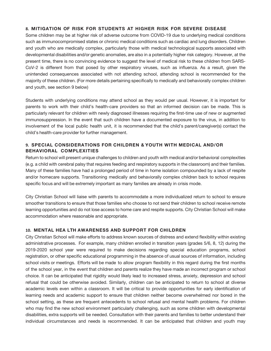#### **8. MITIGATION OF RISK FOR STUDENTS AT HIGHER RISK FOR SEVERE DISEASE**

Some children may be at higher risk of adverse outcome from COVID-19 due to underlying medical conditions such as immunocompromised states or chronic medical conditions such as cardiac and lung disorders. Children and youth who are medically complex, particularly those with medical technological supports associated with developmental disabilities and/or genetic anomalies, are also in a potentially higher risk category. However, at the present time, there is no convincing evidence to suggest the level of medical risk to these children from SARS-CoV-2 is different from that posed by other respiratory viruses, such as influenza. As a result, given the unintended consequences associated with not attending school, attending school is recommended for the majority of these children. (For more details pertaining specifically to medically and behaviorally complex children and youth, see section 9 below)

Students with underlying conditions may attend school as they would per usual. However, it is important for parents to work with their child's health-care providers so that an informed decision can be made. This is particularly relevant for children with newly diagnosed illnesses requiring the first-time use of new or augmented immunosuppression. In the event that such children have a documented exposure to the virus, in addition to involvement of the local public health unit, it is recommended that the child's parent/caregiver(s) contact the child's health-care provider for further management.

#### **9. SPECIAL CONSIDERATIONS FOR CHILDREN & YOUTH WITH MEDICAL AND/OR BEHAVIORAL COMPLEXITIES**

Return to school will present unique challenges to children and youth with medical and/or behavioral complexities (e.g. a child with cerebral palsy that requires feeding and respiratory supports in the classroom) and their families. Many of these families have had a prolonged period of time in home isolation compounded by a lack of respite and/or homecare supports. Transitioning medically and behaviorally complex children back to school requires specific focus and will be extremely important as many families are already in crisis mode.

City Christian School will liaise with parents to accommodate a more individualized return to school to ensure smoother transitions to ensure that those families who choose to not send their children to school receive remote learning opportunities and do not lose access to home care and respite supports. City Christian School will make accommodation where reasonable and appropriate.

#### **10. MENTAL HEA LTH AWARENESS AND SUPPORT FOR CHILDREN**

City Christian School will make efforts to address known sources of distress and extend flexibility within existing administrative processes. For example, many children enrolled in transition years (grades 5/6, 8, 12) during the 2019-2020 school year were required to make decisions regarding special education programs, school registration, or other specific educational programming in the absence of usual sources of information, including school visits or meetings. Efforts will be made to allow program flexibility in this regard during the first months of the school year, in the event that children and parents realize they have made an incorrect program or school choice. It can be anticipated that rigidity would likely lead to increased stress, anxiety, depression and school refusal that could be otherwise avoided. Similarly, children can be anticipated to return to school at diverse academic levels even within a classroom. It will be critical to provide opportunities for early identification of learning needs and academic support to ensure that children neither become overwhelmed nor bored in the school setting, as these are frequent antecedents to school refusal and mental health problems. For children who may find the new school environment particularly challenging, such as some children with developmental disabilities, extra supports will be needed. Consultation with their parents and families to better understand their individual circumstances and needs is recommended. It can be anticipated that children and youth may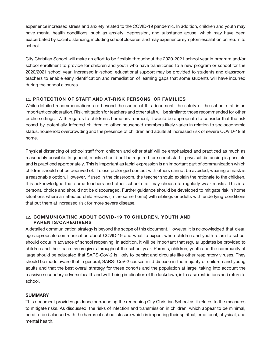experience increased stress and anxiety related to the COVID-19 pandemic. In addition, children and youth may have mental health conditions, such as anxiety, depression, and substance abuse, which may have been exacerbated by social distancing, including school closures, and may experience symptom escalation on return to school.

City Christian School will make an effort to be flexible throughout the 2020-2021 school year in program and/or school enrollment to provide for children and youth who have transitioned to a new program or school for the 2020/2021 school year. Increased in-school educational support may be provided to students and classroom teachers to enable early identification and remediation of learning gaps that some students will have incurred during the school closures.

#### **11. PROTECTION OF STAFF AND AT-RISK PERSONS OR FAMILIES**

While detailed recommendations are beyond the scope of this document, the safety of the school staff is an important consideration. Risk mitigation for teachers and other staff will be similar to those recommended for other public settings. With regards to children's home environment, it would be appropriate to consider that the risk posed by potentially infected children to other household members likely varies in relation to socioeconomic status, household overcrowding and the presence of children and adults at increased risk of severe COVID-19 at home.

Physical distancing of school staff from children and other staff will be emphasized and practiced as much as reasonably possible. In general, masks should not be required for school staff if physical distancing is possible and is practiced appropriately. This is important as facial expression is an important part of communication which children should not be deprived of. If close prolonged contact with others cannot be avoided, wearing a mask is a reasonable option. However, if used in the classroom, the teacher should explain the rationale to the children. It is acknowledged that some teachers and other school staff may choose to regularly wear masks. This is a personal choice and should not be discouraged. Further guidance should be developed to mitigate risk in home situations where an affected child resides (in the same home) with siblings or adults with underlying conditions that put them at increased risk for more severe disease.

#### **12. COMMUNICATING ABOUT COVID-19 TO CHILDREN, YOUTH AND PARENTS/CAREGIVERS**

A detailed communication strategy is beyond the scope of this document. However, it is acknowledged that clear, age-appropriate communication about COVID-19 and what to expect when children and youth return to school should occur in advance of school reopening. In addition, it will be important that regular updates be provided to children and their parents/caregivers throughout the school year. Parents, children, youth and the community at large should be educated that SARS-CoV-2 is likely to persist and circulate like other respiratory viruses. They should be made aware that in general, SARS- CoV-2 causes mild disease in the majority of children and young adults and that the best overall strategy for these cohorts and the population at large, taking into account the massive secondary adverse health and well-being implication of the lockdown, is to ease restrictions and return to school.

#### **SUMMARY**

This document provides guidance surrounding the reopening City Christian School as it relates to the measures to mitigate risks. As discussed, the risks of infection and transmission in children, which appear to be minimal, need to be balanced with the harms of school closure which is impacting their spiritual, emotional, physical, and mental health.